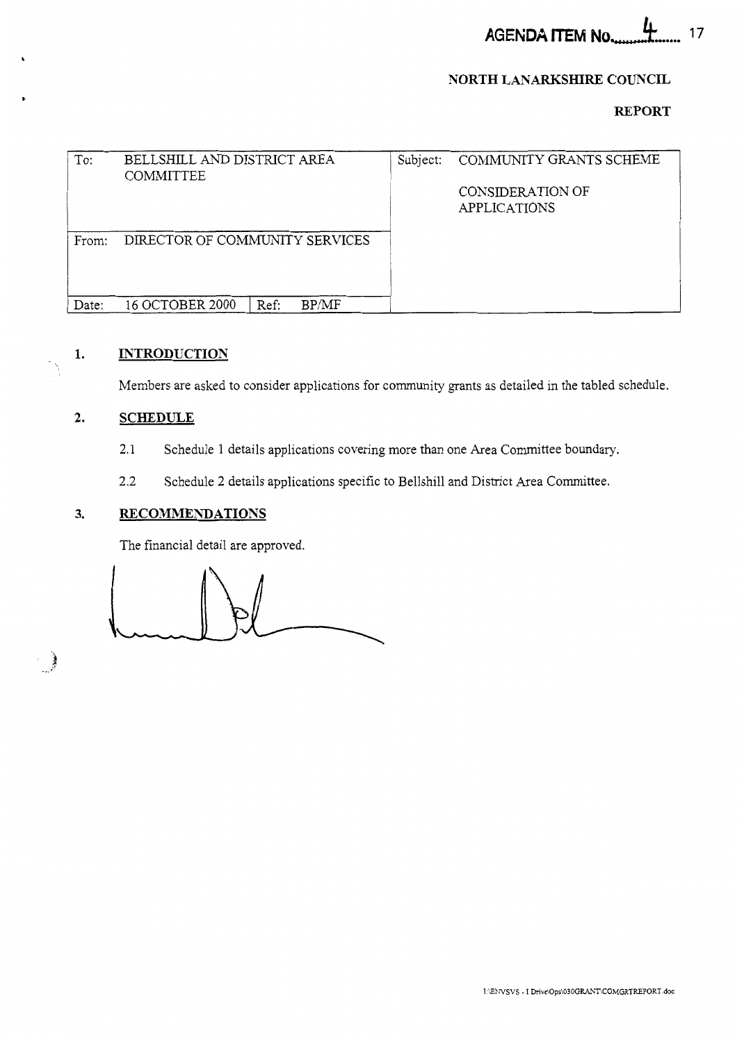**AGENDA ITEM No.**  $17$ 

### **NORTH LANARKSHIRE COUNCIL**

## **REPORT**

<span id="page-0-0"></span>

| To:   | BELLSHILL AND DISTRICT AREA<br>COMMITTEE |               | Subject: | COMMUNITY GRANTS SCHEME                  |
|-------|------------------------------------------|---------------|----------|------------------------------------------|
|       |                                          |               |          | CONSIDER ATION OF<br><b>APPLICATIONS</b> |
| From: | DIRECTOR OF COMMUNITY SERVICES           |               |          |                                          |
| Date: | 16 OCTOBER 2000                          | BP/MF<br>Ref: |          |                                          |

## **1. INTRODUCTION**

Members are asked to consider applications for community grants as detailed in the tabled schedule.

#### **2. SCHEDULE**

- 2.1 Schedule 1 details applications covering more than one Area Committee boundary.
- 2.2 Schedule 2 details applications specific to Bellshill and District Area Committee.

#### **3. RECOMMENDATIONS**

The financial detail are approved.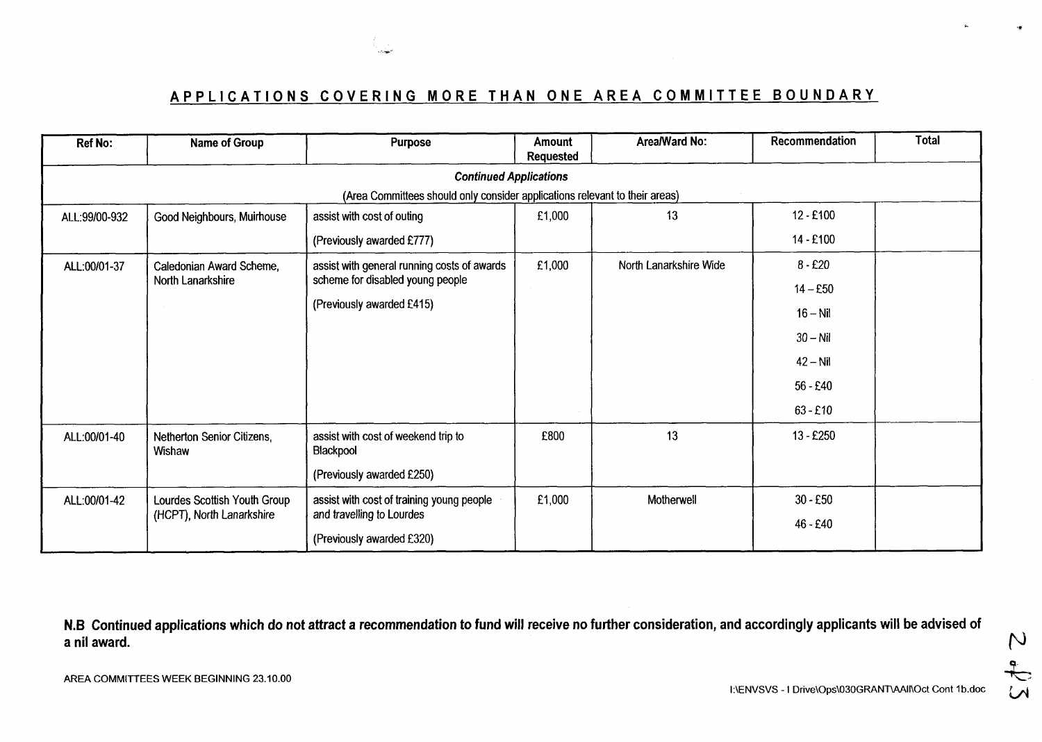

# **APPLICATIONS COVERING MORE THAN ONE AREA COMMITTEE BOUNDARY**

| Ref No:       | Name of Group                        | <b>Purpose</b>                                                              | <b>Amount</b><br><b>Requested</b> | Area/Ward No:          | Recommendation | <b>Total</b> |
|---------------|--------------------------------------|-----------------------------------------------------------------------------|-----------------------------------|------------------------|----------------|--------------|
|               |                                      | <b>Continued Applications</b>                                               |                                   |                        |                |              |
|               |                                      | (Area Committees should only consider applications relevant to their areas) |                                   |                        |                |              |
| ALL:99/00-932 | Good Neighbours, Muirhouse           | assist with cost of outing                                                  | £1,000                            | 13                     | $12 - £100$    |              |
|               |                                      | (Previously awarded £777)                                                   |                                   |                        | 14 - £100      |              |
| ALL:00/01-37  | Caledonian Award Scheme,             | assist with general running costs of awards                                 | £1,000                            | North Lanarkshire Wide | $8 - £20$      |              |
|               | North Lanarkshire                    | scheme for disabled young people                                            |                                   |                        | $14 - £50$     |              |
|               |                                      | (Previously awarded £415)                                                   |                                   |                        | $16 - Nil$     |              |
|               |                                      |                                                                             |                                   |                        | $30 - Nil$     |              |
|               |                                      |                                                                             |                                   |                        | $42 - Nil$     |              |
|               |                                      |                                                                             |                                   |                        | $56 - £40$     |              |
|               |                                      |                                                                             |                                   |                        | $63 - £10$     |              |
| ALL:00/01-40  | Netherton Senior Citizens,<br>Wishaw | assist with cost of weekend trip to<br>Blackpool                            | £800                              | 13                     | 13 - £250      |              |
|               |                                      | (Previously awarded £250)                                                   |                                   |                        |                |              |
| ALL:00/01-42  | Lourdes Scottish Youth Group         | assist with cost of training young people                                   | £1,000                            | Motherwell             | $30 - £50$     |              |
|               | (HCPT), North Lanarkshire            | and travelling to Lourdes                                                   |                                   |                        | 46 - £40       |              |
|               |                                      | (Previously awarded £320)                                                   |                                   |                        |                |              |

**N.B Continued applications which do not attract a recommendation to fund will receive no further consideration, and accordingly applicants will be advised of**  a nil award.  $\rho$ A THE AWARD.<br>AREA COMMITTEES WEEK BEGINNING 23.10.00

**I:\ENVSVS - I Drive\Ops\030GRANT\AAIl\Oct Cont 1b.doc**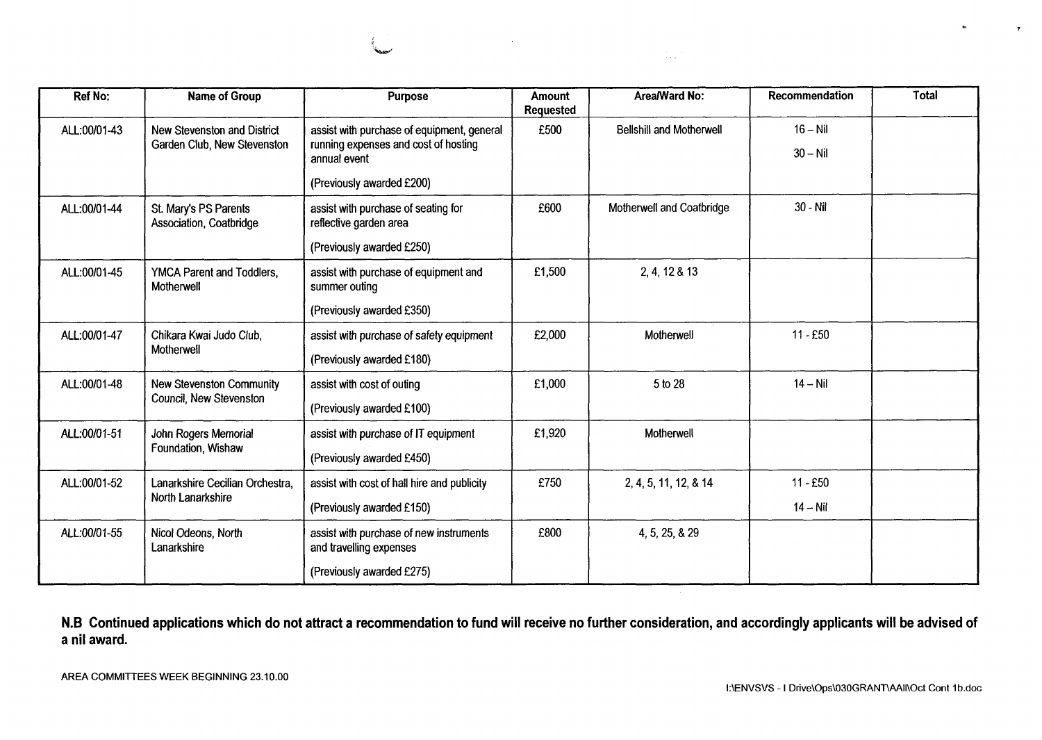

|              |                                                            |                                                                                                    |                            |                                  |                          | ÷ц.   |
|--------------|------------------------------------------------------------|----------------------------------------------------------------------------------------------------|----------------------------|----------------------------------|--------------------------|-------|
|              |                                                            |                                                                                                    | $\sim 100$                 | $\alpha \rightarrow \beta \mu$ . |                          |       |
|              |                                                            |                                                                                                    |                            |                                  |                          |       |
|              |                                                            |                                                                                                    |                            |                                  |                          |       |
| Ref No:      | <b>Name of Group</b>                                       | <b>Purpose</b>                                                                                     | <b>Amount</b><br>Requested | Area/Ward No:                    | Recommendation           | Total |
| ALL:00/01-43 | New Stevenston and District<br>Garden Club, New Stevenston | assist with purchase of equipment, general<br>running expenses and cost of hosting<br>annual event | £500                       | <b>Bellshill and Motherwell</b>  | $16 - Nil$<br>$30 - Nil$ |       |
|              |                                                            | (Previously awarded £200)                                                                          |                            |                                  |                          |       |
| ALL:00/01-44 | St. Mary's PS Parents<br>Association, Coatbridge           | assist with purchase of seating for<br>reflective garden area                                      | £600                       | Motherwell and Coatbridge        | 30 - Nil                 |       |
|              |                                                            | (Previously awarded £250)                                                                          |                            |                                  |                          |       |
| ALL:00/01-45 | YMCA Parent and Toddlers,<br>Motherwell                    | assist with purchase of equipment and<br>summer outing                                             | £1,500                     | 2, 4, 12 & 13                    |                          |       |
|              |                                                            | (Previously awarded £350)                                                                          |                            |                                  |                          |       |
| ALL:00/01-47 | Chikara Kwai Judo Club,<br>Motherwell                      | assist with purchase of safety equipment<br>(Previously awarded £180)                              | £2,000                     | Motherwell                       | $11 - £50$               |       |
| ALL:00/01-48 | New Stevenston Community                                   | assist with cost of outing                                                                         | £1,000                     | 5 to 28                          | $14 - Nil$               |       |
|              | Council, New Stevenston                                    | (Previously awarded £100)                                                                          |                            |                                  |                          |       |
| ALL:00/01-51 | John Rogers Memorial<br>Foundation, Wishaw                 | assist with purchase of IT equipment                                                               | £1,920                     | Motherwell                       |                          |       |
| ALL:00/01-52 | Lanarkshire Cecilian Orchestra,                            | (Previously awarded £450)                                                                          | £750                       | 2, 4, 5, 11, 12, & 14            | $11 - £50$               |       |
|              | North Lanarkshire                                          | assist with cost of hall hire and publicity<br>(Previously awarded £150)                           |                            |                                  | $14 - Nil$               |       |
| ALL:00/01-55 | Nicol Odeons, North<br>Lanarkshire                         | assist with purchase of new instruments<br>and travelling expenses                                 | £800                       | 4, 5, 25, & 29                   |                          |       |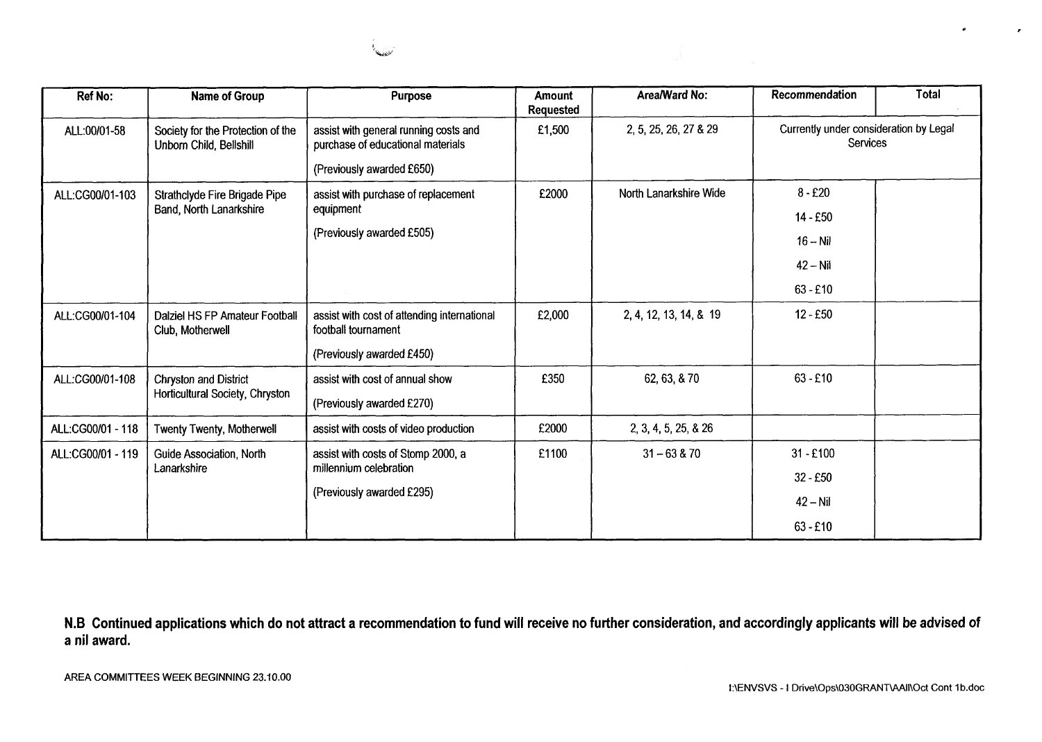| Ref No:           | Name of Group                                                | Purpose                                                                    | <b>Amount</b><br><b>Requested</b> | Area/Ward No:          | Recommendation                                     | <b>Total</b> |
|-------------------|--------------------------------------------------------------|----------------------------------------------------------------------------|-----------------------------------|------------------------|----------------------------------------------------|--------------|
| ALL:00/01-58      | Society for the Protection of the<br>Unborn Child, Bellshill | assist with general running costs and<br>purchase of educational materials | £1,500                            | 2, 5, 25, 26, 27 & 29  | Currently under consideration by Legal<br>Services |              |
|                   |                                                              | (Previously awarded £650)                                                  |                                   |                        |                                                    |              |
| ALL:CG00/01-103   | Strathclyde Fire Brigade Pipe<br>Band, North Lanarkshire     | assist with purchase of replacement<br>equipment                           | £2000                             | North Lanarkshire Wide | $8 - £20$                                          |              |
|                   |                                                              |                                                                            |                                   |                        | 14 - £50                                           |              |
|                   |                                                              | (Previously awarded £505)                                                  |                                   |                        | $16 - Nil$                                         |              |
|                   |                                                              |                                                                            |                                   |                        | $42 - Nil$                                         |              |
|                   |                                                              |                                                                            |                                   |                        | $63 - £10$                                         |              |
| ALL:CG00/01-104   | Dalziel HS FP Amateur Football<br>Club, Motherwell           | assist with cost of attending international<br>football tournament         | £2,000                            | 2, 4, 12, 13, 14, & 19 | $12 - £50$                                         |              |
|                   |                                                              | (Previously awarded £450)                                                  |                                   |                        |                                                    |              |
| ALL:CG00/01-108   | Chryston and District                                        | assist with cost of annual show                                            | £350                              | 62, 63, 870            | $63 - £10$                                         |              |
|                   | Horticultural Society, Chryston                              | (Previously awarded £270)                                                  |                                   |                        |                                                    |              |
| ALL:CG00/01 - 118 | <b>Twenty Twenty, Motherwell</b>                             | assist with costs of video production                                      | £2000                             | 2, 3, 4, 5, 25, & 26   |                                                    |              |
| ALL:CG00/01 - 119 | Guide Association, North                                     | assist with costs of Stomp 2000, a                                         | £1100                             | $31 - 63 & 70$         | $31 - £100$                                        |              |
|                   | Lanarkshire                                                  | millennium celebration                                                     |                                   |                        | $32 - £50$                                         |              |
|                   |                                                              | (Previously awarded £295)                                                  |                                   |                        | $42 - Nil$                                         |              |
|                   |                                                              |                                                                            |                                   |                        | $63 - £10$                                         |              |

,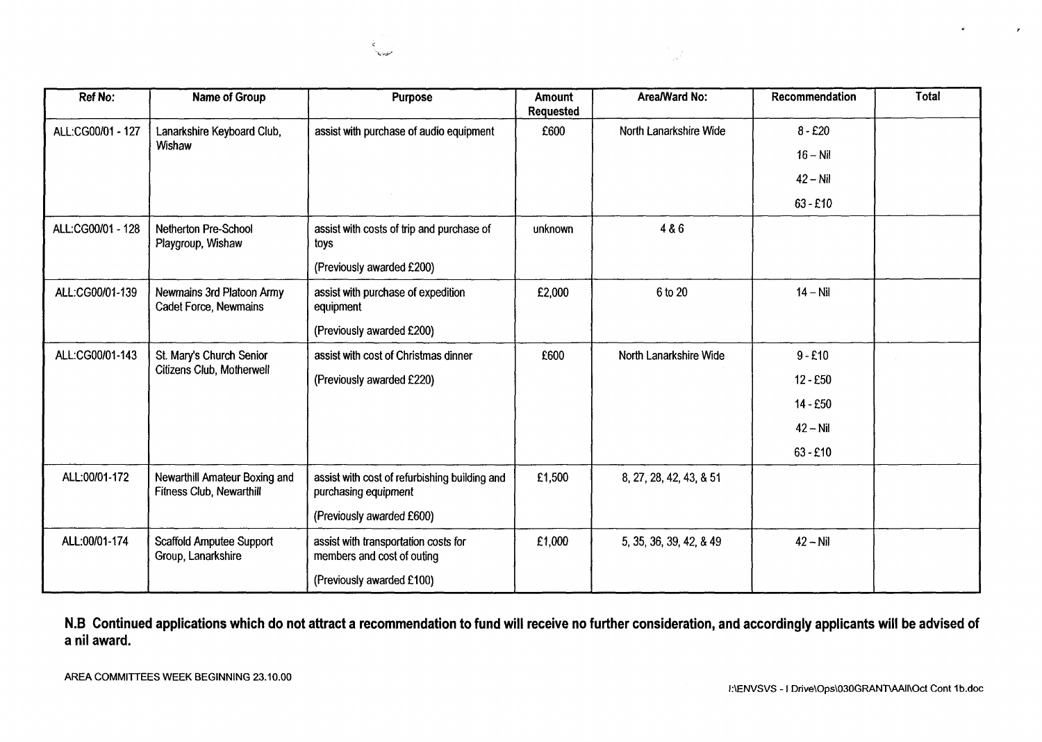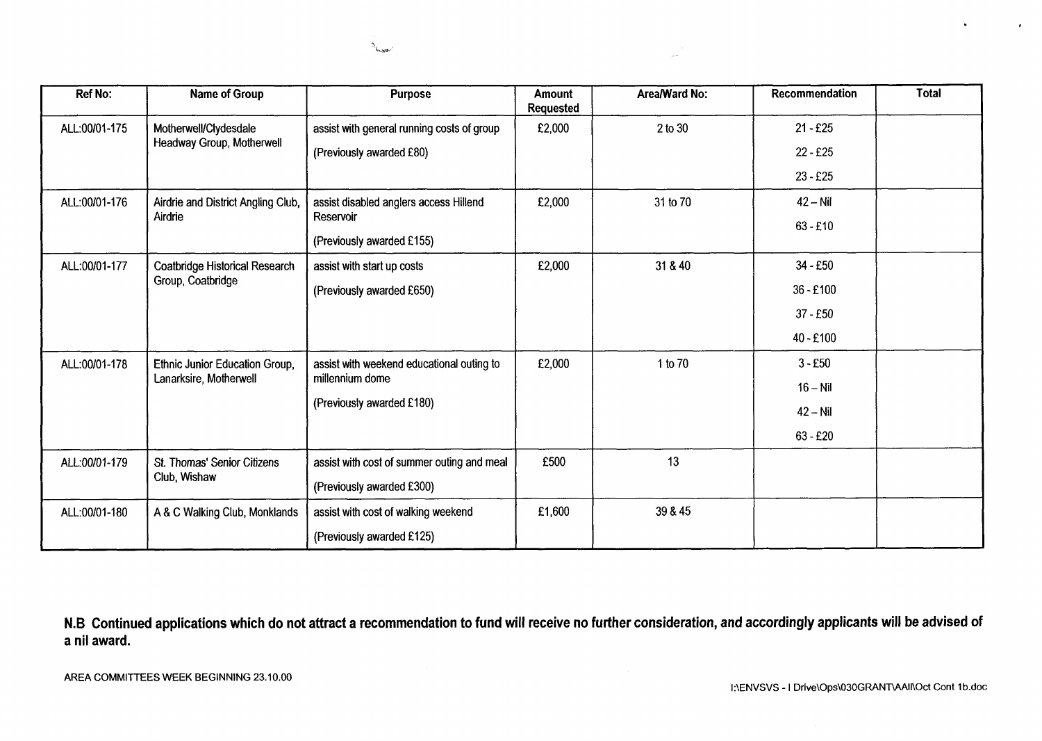

 $\mathcal{I}^{\mathcal{I}^{\text{comp}}_{\text{c}}\text{}}$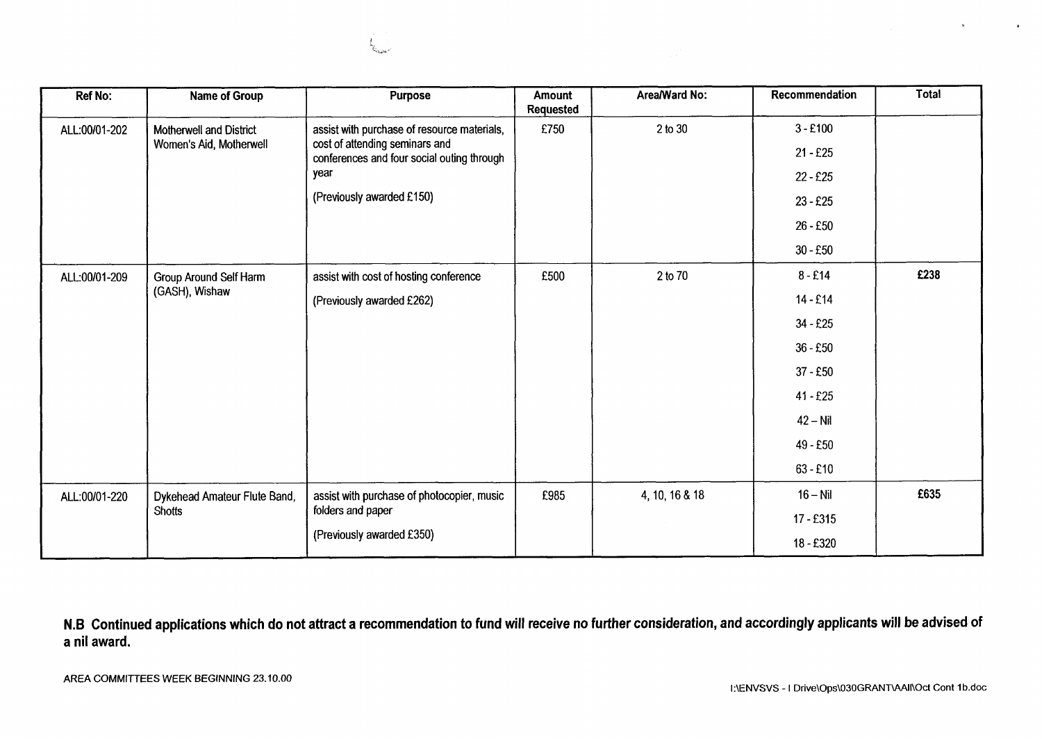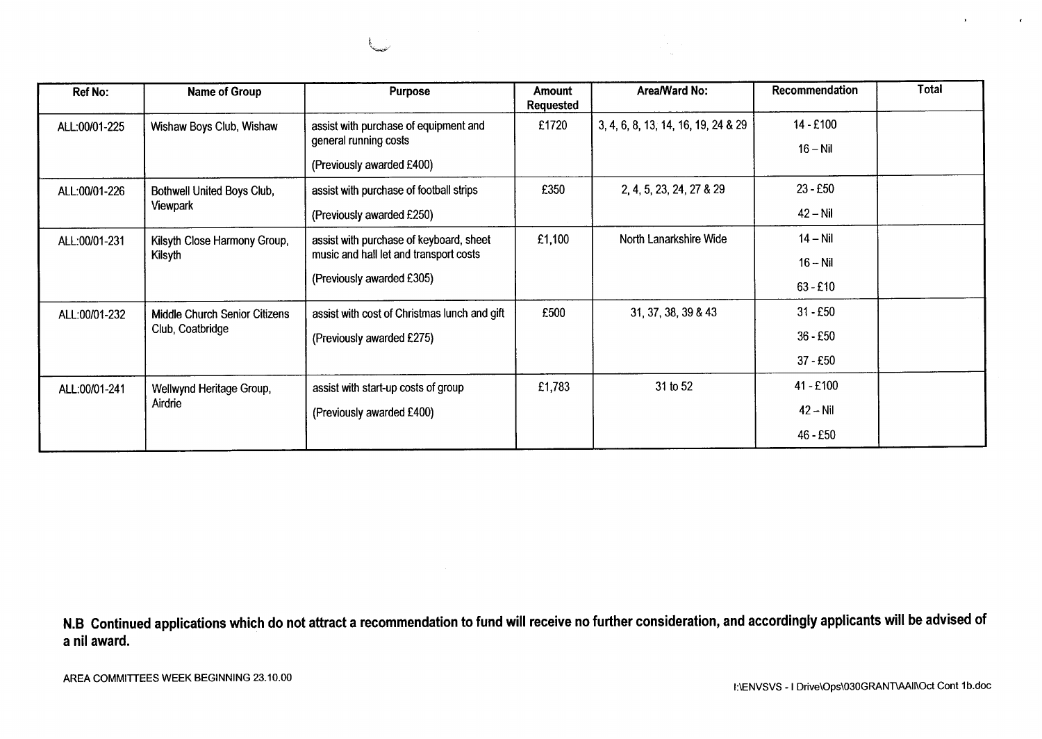| Ref No:       | <b>Name of Group</b>                              | <b>Purpose</b>                                                                                                 | Amount<br><b>Requested</b> | Area/Ward No:                       | Recommendation                         | Total |
|---------------|---------------------------------------------------|----------------------------------------------------------------------------------------------------------------|----------------------------|-------------------------------------|----------------------------------------|-------|
| ALL:00/01-225 | Wishaw Boys Club, Wishaw                          | assist with purchase of equipment and<br>general running costs<br>(Previously awarded £400)                    | £1720                      | 3, 4, 6, 8, 13, 14, 16, 19, 24 & 29 | $14 - £100$<br>$16 - Nil$              |       |
| ALL:00/01-226 | Bothwell United Boys Club,<br>Viewpark            | assist with purchase of football strips<br>(Previously awarded £250)                                           | £350                       | 2, 4, 5, 23, 24, 27 & 29            | $23 - E50$<br>$42 - Nil$               |       |
| ALL:00/01-231 | Kilsyth Close Harmony Group,<br>Kilsyth           | assist with purchase of keyboard, sheet<br>music and hall let and transport costs<br>(Previously awarded £305) | £1,100                     | North Lanarkshire Wide              | $14 - Nil$<br>$16 - Nil$<br>$63 - £10$ |       |
| ALL:00/01-232 | Middle Church Senior Citizens<br>Club, Coatbridge | assist with cost of Christmas lunch and gift<br>(Previously awarded £275)                                      | £500                       | 31, 37, 38, 39 & 43                 | $31 - £50$<br>$36 - £50$<br>$37 - £50$ |       |
| ALL:00/01-241 | Wellwynd Heritage Group,<br>Airdrie               | assist with start-up costs of group<br>(Previously awarded £400)                                               | £1,783                     | 31 to 52                            | 41 - £100<br>$42 - Nil$<br>46 - £50    |       |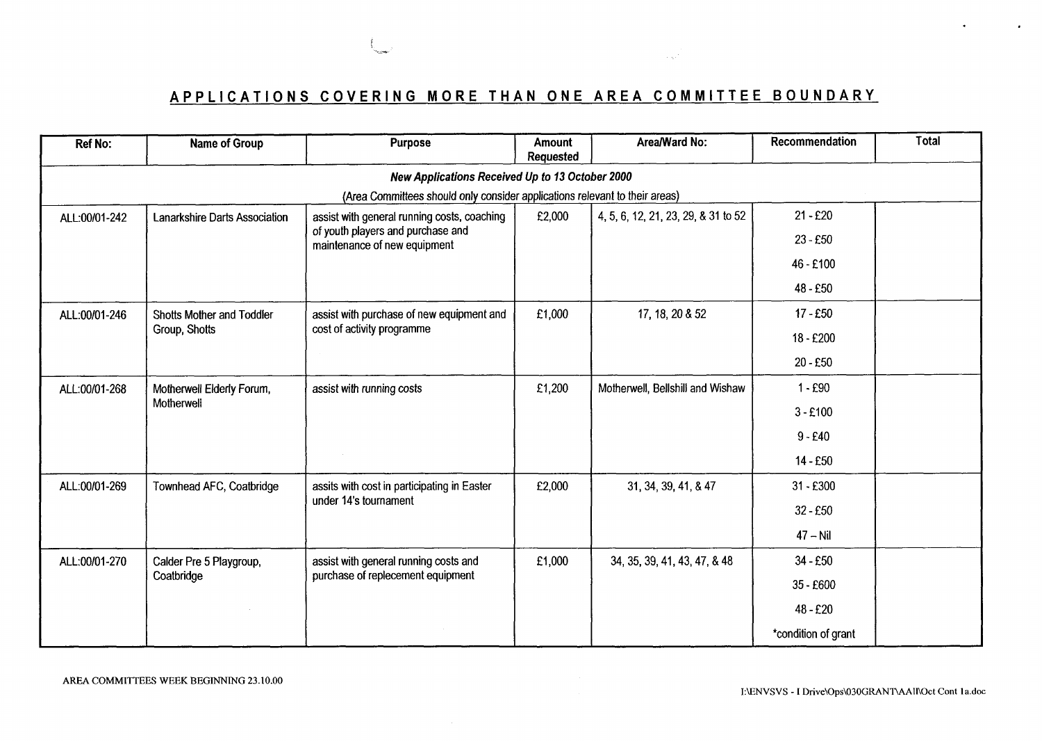# **APPLICATIONS COVERING MORE THAN ONE AREA COMMITTEE BOUNDARY**

 $\sim 100\, {\rm km}^{-3}$ 

| <b>Ref No:</b> | Name of Group                                   | Purpose                                                                          | Amount<br>Requested | Area/Ward No:                       | Recommendation      | Total      |  |  |  |  |
|----------------|-------------------------------------------------|----------------------------------------------------------------------------------|---------------------|-------------------------------------|---------------------|------------|--|--|--|--|
|                | New Applications Received Up to 13 October 2000 |                                                                                  |                     |                                     |                     |            |  |  |  |  |
|                |                                                 | (Area Committees should only consider applications relevant to their areas)      |                     |                                     |                     |            |  |  |  |  |
| ALL:00/01-242  | Lanarkshire Darts Association                   | assist with general running costs, coaching<br>of youth players and purchase and | £2,000              | 4, 5, 6, 12, 21, 23, 29, & 31 to 52 | $21 - £20$          |            |  |  |  |  |
|                |                                                 | maintenance of new equipment                                                     |                     |                                     | $23 - £50$          |            |  |  |  |  |
|                |                                                 |                                                                                  |                     |                                     | 46 - £100           |            |  |  |  |  |
|                |                                                 |                                                                                  |                     |                                     | 48 - £50            |            |  |  |  |  |
| ALL:00/01-246  | Shotts Mother and Toddler                       | assist with purchase of new equipment and                                        | £1,000              | 17, 18, 20 & 52                     | $17 - £50$          |            |  |  |  |  |
|                | Group, Shotts                                   | cost of activity programme                                                       |                     |                                     | 18 - £200           |            |  |  |  |  |
|                |                                                 |                                                                                  |                     |                                     | 20 - £50            |            |  |  |  |  |
| ALL:00/01-268  | Motherwell Elderly Forum,                       | assist with running costs                                                        | £1,200              | Motherwell, Bellshill and Wishaw    | $1 - £90$           |            |  |  |  |  |
|                | Motherwell                                      |                                                                                  |                     |                                     |                     | $3 - £100$ |  |  |  |  |
|                |                                                 |                                                                                  |                     |                                     | $9 - £40$           |            |  |  |  |  |
|                |                                                 |                                                                                  |                     |                                     | 14 - £50            |            |  |  |  |  |
| ALL:00/01-269  | Townhead AFC, Coatbridge                        | assits with cost in participating in Easter                                      | £2,000              | 31, 34, 39, 41, & 47                | $31 - £300$         |            |  |  |  |  |
|                |                                                 | under 14's tournament                                                            |                     |                                     | $32 - £50$          |            |  |  |  |  |
|                |                                                 |                                                                                  |                     |                                     | $47 - Nil$          |            |  |  |  |  |
| ALL:00/01-270  | Calder Pre 5 Playgroup,                         | assist with general running costs and                                            | £1,000              | 34, 35, 39, 41, 43, 47, & 48        | 34 - £50            |            |  |  |  |  |
|                | Coatbridge                                      | purchase of replecement equipment                                                |                     |                                     | 35 - £600           |            |  |  |  |  |
|                |                                                 |                                                                                  |                     |                                     | 48 - £20            |            |  |  |  |  |
|                |                                                 |                                                                                  |                     |                                     | *condition of grant |            |  |  |  |  |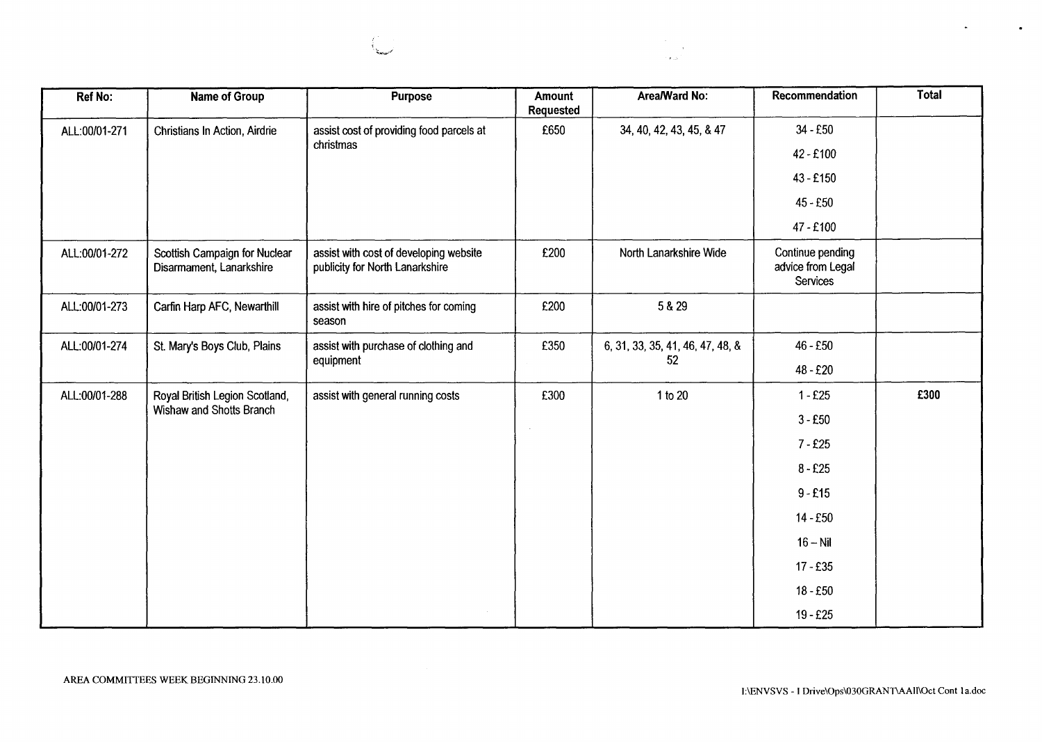

 $\bullet$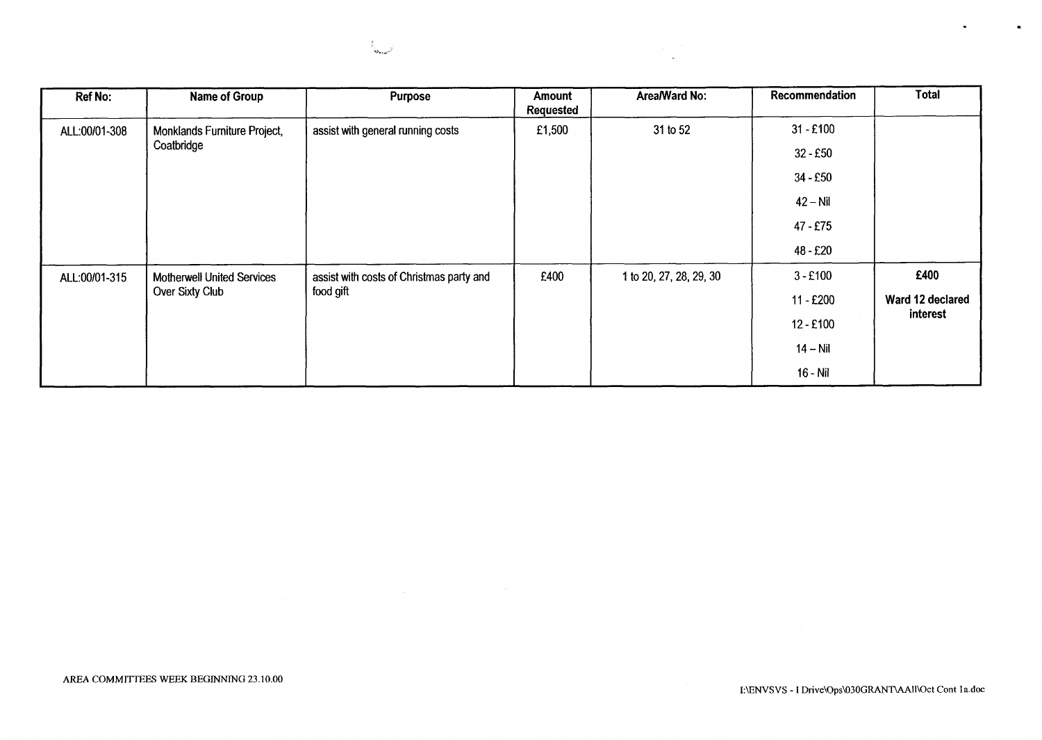

| <b>Ref No:</b> | Name of Group                     | Purpose                                  | Amount<br>Requested | Area/Ward No:           | Recommendation | Total            |
|----------------|-----------------------------------|------------------------------------------|---------------------|-------------------------|----------------|------------------|
| ALL:00/01-308  | Monklands Furniture Project,      | assist with general running costs        | £1,500              | 31 to 52                | $31 - £100$    |                  |
|                | Coatbridge                        |                                          |                     |                         | $32 - £50$     |                  |
|                |                                   |                                          |                     |                         | $34 - £50$     |                  |
|                |                                   |                                          |                     |                         | $42 - Nil$     |                  |
|                |                                   |                                          |                     |                         | 47 - £75       |                  |
|                |                                   |                                          |                     |                         | 48 - £20       |                  |
| ALL:00/01-315  | <b>Motherwell United Services</b> | assist with costs of Christmas party and | £400                | 1 to 20, 27, 28, 29, 30 | $3 - £100$     | £400             |
|                | Over Sixty Club                   | food gift                                |                     |                         | 11 - £200      | Ward 12 declared |
|                |                                   |                                          |                     |                         | $12 - £100$    | interest         |
|                |                                   |                                          |                     |                         | $14 - Nil$     |                  |
|                |                                   |                                          |                     |                         | $16 - Nil$     |                  |

 $\bullet$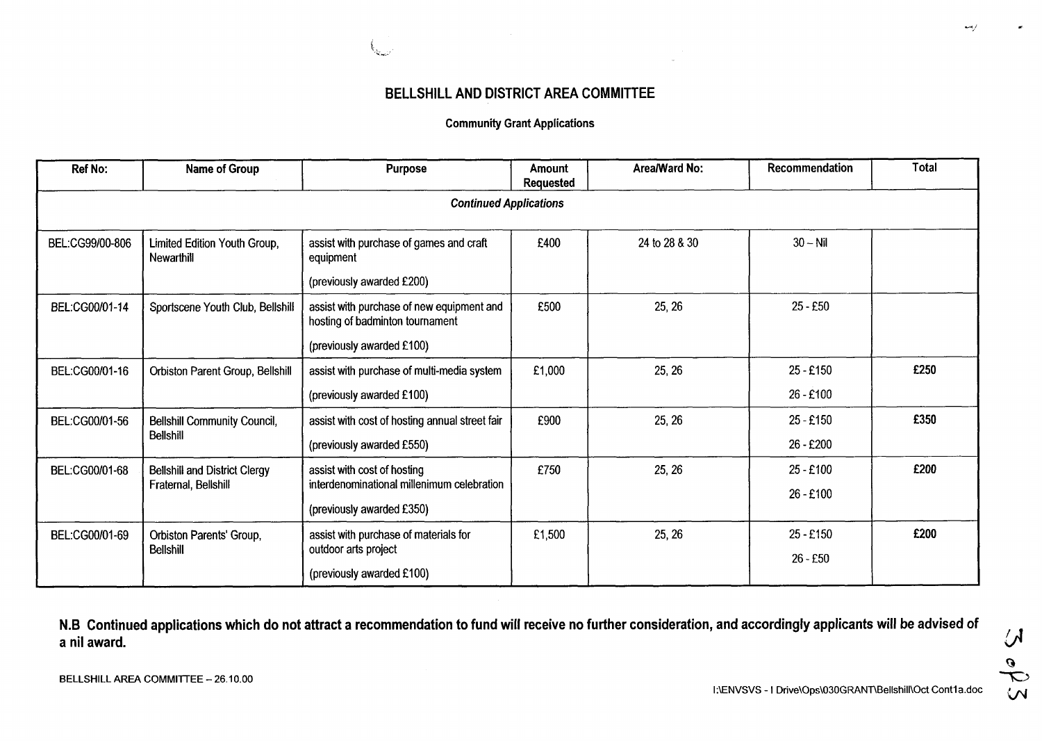

# **BELLSHILL AND DISTRICT AREA COMMITTEE**

### **Community Grant Applications**

| Ref No:         | Name of Group                              | <b>Purpose</b>                                                               | <b>Amount</b><br>Requested | Area/Ward No: | Recommendation | <b>Total</b> |
|-----------------|--------------------------------------------|------------------------------------------------------------------------------|----------------------------|---------------|----------------|--------------|
|                 |                                            | <b>Continued Applications</b>                                                |                            |               |                |              |
| BEL:CG99/00-806 | Limited Edition Youth Group,<br>Newarthill | assist with purchase of games and craft<br>equipment                         | £400                       | 24 to 28 & 30 | $30 - Nil$     |              |
|                 |                                            | (previously awarded £200)                                                    |                            |               |                |              |
| BEL:CG00/01-14  | Sportscene Youth Club, Bellshill           | assist with purchase of new equipment and<br>hosting of badminton tournament | £500                       | 25, 26        | $25 - £50$     |              |
|                 |                                            | (previously awarded £100)                                                    |                            |               |                |              |
| BEL:CG00/01-16  | Orbiston Parent Group, Bellshill           | assist with purchase of multi-media system                                   | £1,000                     | 25, 26        | $25 - £150$    | £250         |
|                 |                                            | (previously awarded £100)                                                    |                            |               | 26 - £100      |              |
| BEL:CG00/01-56  | <b>Bellshill Community Council,</b>        | assist with cost of hosting annual street fair                               | £900                       | 25, 26        | $25 - £150$    | £350         |
|                 | <b>Bellshill</b>                           | (previously awarded £550)                                                    |                            |               | 26 - £200      |              |
| BEL:CG00/01-68  | <b>Bellshill and District Clergy</b>       | assist with cost of hosting                                                  | £750                       | 25, 26        | $25 - £100$    | £200         |
|                 | Fraternal, Bellshill                       | interdenominational millenimum celebration                                   |                            |               | $26 - £100$    |              |
|                 |                                            | (previously awarded £350)                                                    |                            |               |                |              |
| BEL:CG00/01-69  | Orbiston Parents' Group,                   | assist with purchase of materials for                                        | £1,500                     | 25, 26        | $25 - £150$    | £200         |
|                 | <b>Bellshill</b>                           | outdoor arts project<br>(previously awarded £100)                            |                            |               | $26 - £50$     |              |

**N.B Continued applications which do not attract a recommendation to fund will receive no further consideration, and accordingly applicants will be advised** *of*  **a nil award.** 

 $\overline{\mathcal{M}}$ *0*  **W** 

*c*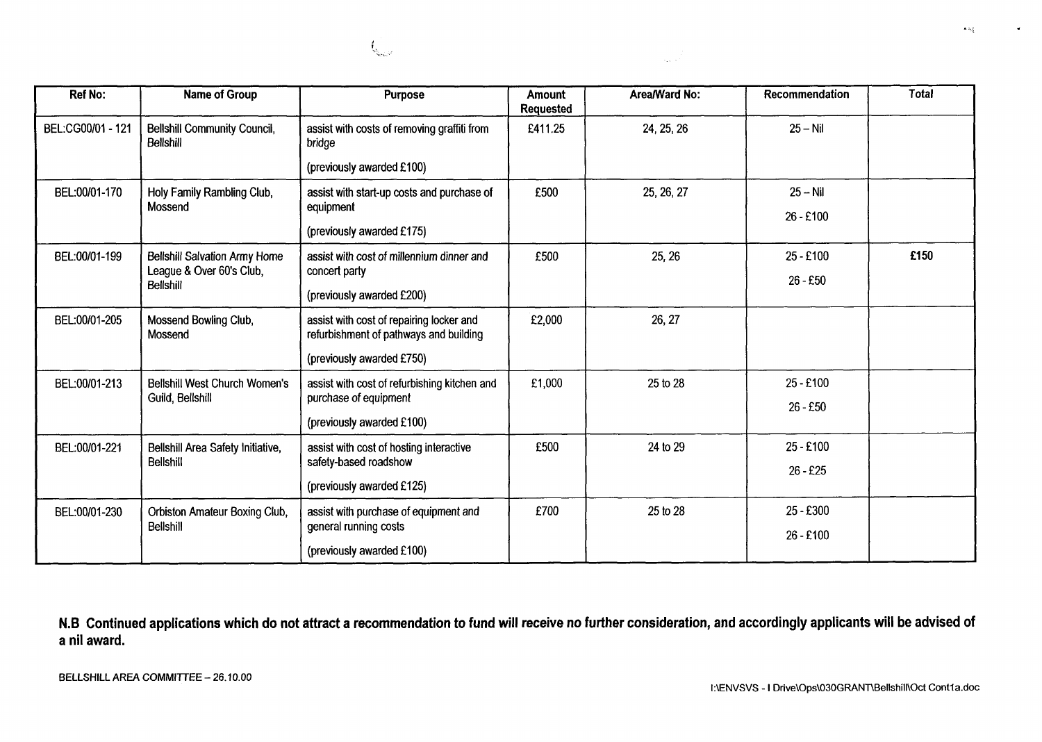

 $\mathbf{t}_{\mathrm{sc}}$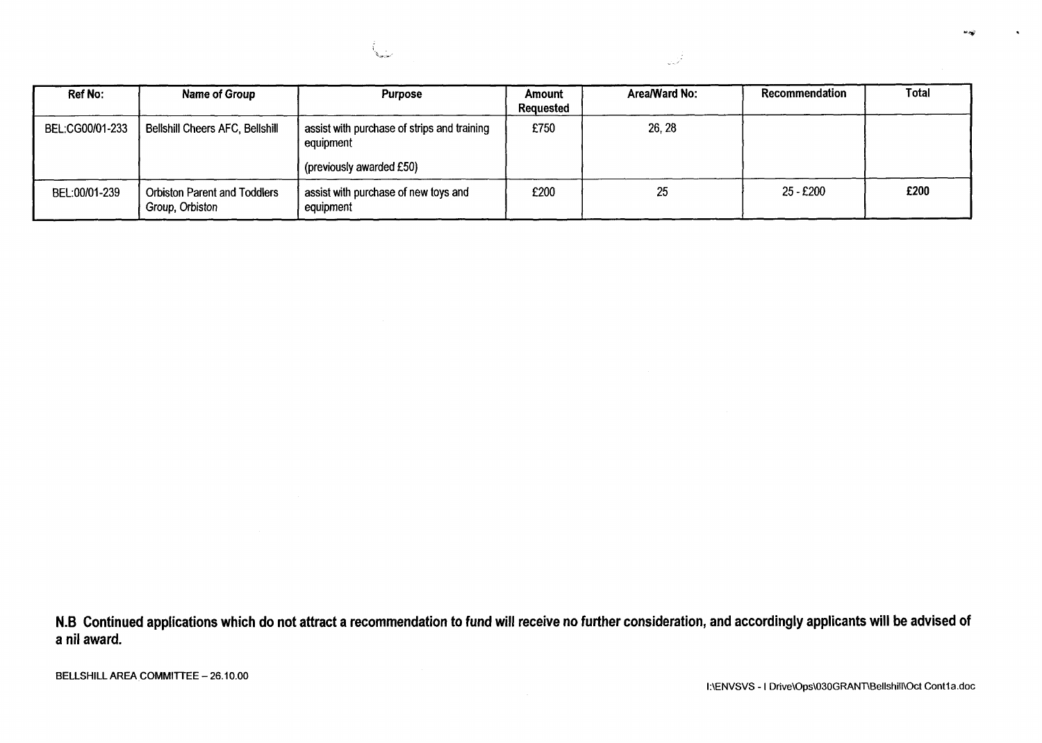| <b>Ref No:</b>  | Name of Group                                          | <b>Purpose</b>                                           | Amount<br>Requested | Area/Ward No: | Recommendation | <b>Total</b> |
|-----------------|--------------------------------------------------------|----------------------------------------------------------|---------------------|---------------|----------------|--------------|
| BEL:CG00/01-233 | <b>Bellshill Cheers AFC, Bellshill</b>                 | assist with purchase of strips and training<br>equipment | £750                | 26, 28        |                |              |
|                 |                                                        | (previously awarded £50)                                 |                     |               |                |              |
| BEL:00/01-239   | <b>Orbiston Parent and Toddlers</b><br>Group, Orbiston | assist with purchase of new toys and<br>equipment        | £200                | 25            | 25 - £200      | £200         |

المحيان

سينية أ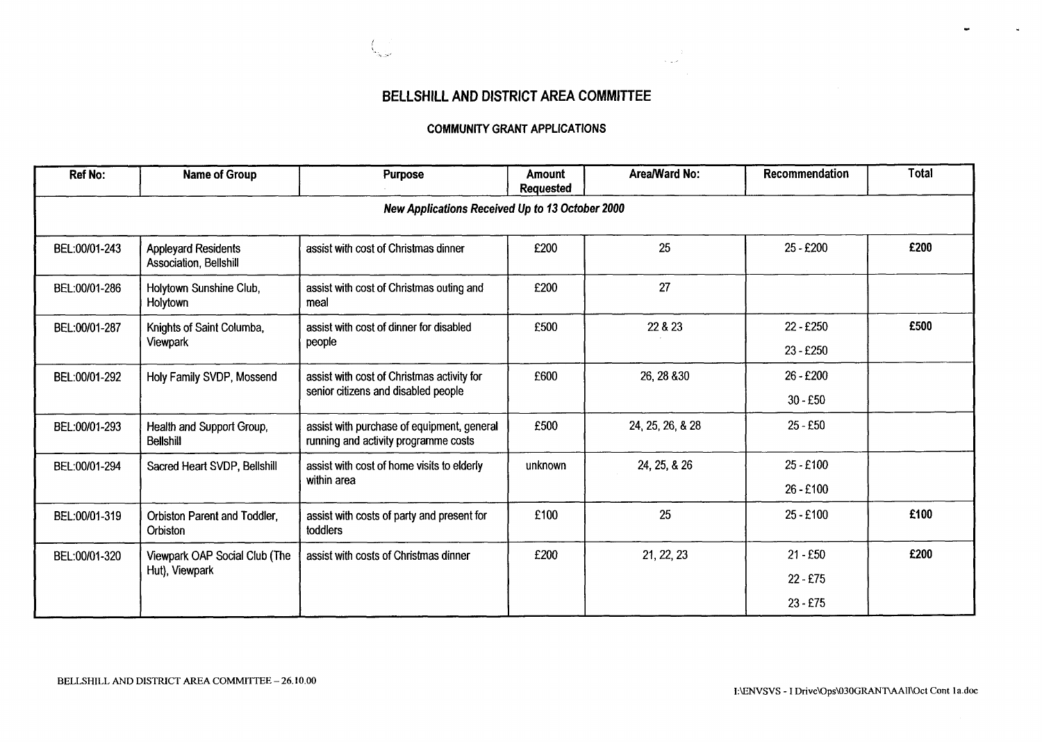

# **BELLSHILL AND DISTRICT AREA COMMITTEE**

الأفري بال

### **COMMUNITY GRANT APPLICATIONS**

| <b>Ref No:</b> | Name of Group                                        | <b>Purpose</b>                                                                     | Amount<br><b>Requested</b> | Area/Ward No:    | Recommendation | <b>Total</b> |
|----------------|------------------------------------------------------|------------------------------------------------------------------------------------|----------------------------|------------------|----------------|--------------|
|                |                                                      | New Applications Received Up to 13 October 2000                                    |                            |                  |                |              |
| BEL:00/01-243  | <b>Appleyard Residents</b><br>Association, Bellshill | assist with cost of Christmas dinner                                               | £200                       | 25               | $25 - £200$    | £200         |
| BEL:00/01-286  | Holytown Sunshine Club,<br>Holytown                  | assist with cost of Christmas outing and<br>meal                                   | £200                       | 27               |                |              |
| BEL:00/01-287  | Knights of Saint Columba,                            | assist with cost of dinner for disabled                                            | £500                       | 22 & 23          | 22 - £250      | £500         |
|                | Viewpark                                             | people                                                                             |                            |                  | $23 - £250$    |              |
| BEL:00/01-292  | Holy Family SVDP, Mossend                            | assist with cost of Christmas activity for                                         | £600                       | 26, 28 & 30      | 26 - £200      |              |
|                |                                                      | senior citizens and disabled people                                                |                            |                  | $30 - £50$     |              |
| BEL:00/01-293  | Health and Support Group,<br><b>Bellshill</b>        | assist with purchase of equipment, general<br>running and activity programme costs | £500                       | 24, 25, 26, & 28 | $25 - £50$     |              |
| BEL:00/01-294  | Sacred Heart SVDP, Bellshill                         | assist with cost of home visits to elderly                                         | unknown                    | 24, 25, & 26     | $25 - £100$    |              |
|                |                                                      | within area                                                                        |                            |                  | 26 - £100      |              |
| BEL:00/01-319  | Orbiston Parent and Toddler,<br>Orbiston             | assist with costs of party and present for<br>toddlers                             | £100                       | 25               | 25 - £100      | £100         |
| BEL:00/01-320  | Viewpark OAP Social Club (The                        | assist with costs of Christmas dinner                                              | £200                       | 21, 22, 23       | $21 - £50$     | £200         |
|                | Hut), Viewpark                                       |                                                                                    |                            |                  | $22 - £75$     |              |
|                |                                                      |                                                                                    |                            |                  | $23 - £75$     |              |

 $\sim$ 

 $\mathbf{r}$